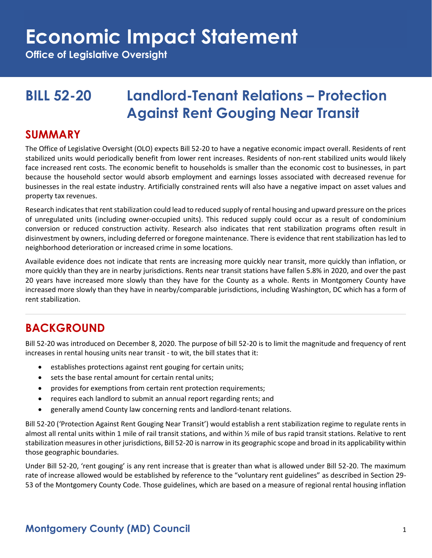**Office of Legislative Oversight**

## **BILL 52-20 Landlord-Tenant Relations – Protection Against Rent Gouging Near Transit**

### **SUMMARY**

The Office of Legislative Oversight (OLO) expects Bill 52-20 to have a negative economic impact overall. Residents of rent stabilized units would periodically benefit from lower rent increases. Residents of non-rent stabilized units would likely face increased rent costs. The economic benefit to households is smaller than the economic cost to businesses, in part because the household sector would absorb employment and earnings losses associated with decreased revenue for businesses in the real estate industry. Artificially constrained rents will also have a negative impact on asset values and property tax revenues.

Research indicates that rent stabilization could lead to reduced supply of rental housing and upward pressure on the prices of unregulated units (including owner-occupied units). This reduced supply could occur as a result of condominium conversion or reduced construction activity. Research also indicates that rent stabilization programs often result in disinvestment by owners, including deferred or foregone maintenance. There is evidence that rent stabilization has led to neighborhood deterioration or increased crime in some locations.

Available evidence does not indicate that rents are increasing more quickly near transit, more quickly than inflation, or more quickly than they are in nearby jurisdictions. Rents near transit stations have fallen 5.8% in 2020, and over the past 20 years have increased more slowly than they have for the County as a whole. Rents in Montgomery County have increased more slowly than they have in nearby/comparable jurisdictions, including Washington, DC which has a form of rent stabilization.

## **BACKGROUND**

Bill 52-20 was introduced on December 8, 2020. The purpose of bill 52-20 is to limit the magnitude and frequency of rent increases in rental housing units near transit - to wit, the bill states that it:

- establishes protections against rent gouging for certain units;
- sets the base rental amount for certain rental units;
- provides for exemptions from certain rent protection requirements;
- requires each landlord to submit an annual report regarding rents; and
- generally amend County law concerning rents and landlord-tenant relations.

Bill 52-20 ('Protection Against Rent Gouging Near Transit') would establish a rent stabilization regime to regulate rents in almost all rental units within 1 mile of rail transit stations, and within ½ mile of bus rapid transit stations. Relative to rent stabilization measures in other jurisdictions, Bill 52-20 is narrow in its geographic scope and broad in its applicability within those geographic boundaries.

Under Bill 52-20, 'rent gouging' is any rent increase that is greater than what is allowed under Bill 52-20. The maximum rate of increase allowed would be established by reference to the "voluntary rent guidelines" as described in Section 29- 53 of the Montgomery County Code. Those guidelines, which are based on a measure of regional rental housing inflation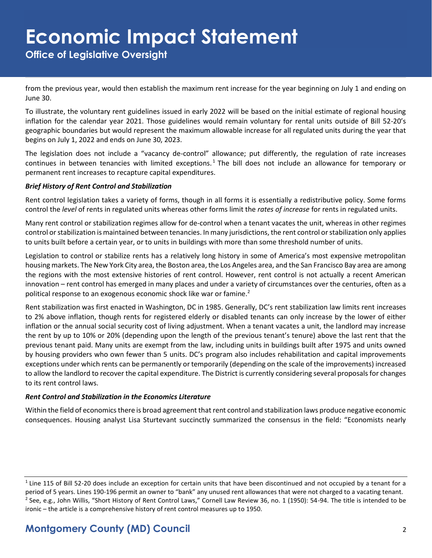**Office of Legislative Oversight**

from the previous year, would then establish the maximum rent increase for the year beginning on July 1 and ending on June 30.

To illustrate, the voluntary rent guidelines issued in early 2022 will be based on the initial estimate of regional housing inflation for the calendar year 2021. Those guidelines would remain voluntary for rental units outside of Bill 52-20's geographic boundaries but would represent the maximum allowable increase for all regulated units during the year that begins on July 1, 2022 and ends on June 30, 2023.

The legislation does not include a "vacancy de-control" allowance; put differently, the regulation of rate increases continues in between tenancies with limited exceptions.<sup>1</sup> The bill does not include an allowance for temporary or permanent rent increases to recapture capital expenditures.

#### *Brief History of Rent Control and Stabilization*

Rent control legislation takes a variety of forms, though in all forms it is essentially a redistributive policy. Some forms control the *level* of rents in regulated units whereas other forms limit the *rates of increase* for rents in regulated units.

Many rent control or stabilization regimes allow for de-control when a tenant vacates the unit, whereas in other regimes control or stabilization is maintained between tenancies. In many jurisdictions, the rent control or stabilization only applies to units built before a certain year, or to units in buildings with more than some threshold number of units.

Legislation to control or stabilize rents has a relatively long history in some of America's most expensive metropolitan housing markets. The New York City area, the Boston area, the Los Angeles area, and the San Francisco Bay area are among the regions with the most extensive histories of rent control. However, rent control is not actually a recent American innovation – rent control has emerged in many places and under a variety of circumstances over the centuries, often as a political response to an exogenous economic shock like war or famine.<sup>2</sup>

Rent stabilization was first enacted in Washington, DC in 1985. Generally, DC's rent stabilization law limits rent increases to 2% above inflation, though rents for registered elderly or disabled tenants can only increase by the lower of either inflation or the annual social security cost of living adjustment. When a tenant vacates a unit, the landlord may increase the rent by up to 10% or 20% (depending upon the length of the previous tenant's tenure) above the last rent that the previous tenant paid. Many units are exempt from the law, including units in buildings built after 1975 and units owned by housing providers who own fewer than 5 units. DC's program also includes rehabilitation and capital improvements exceptions under which rents can be permanently or temporarily (depending on the scale of the improvements) increased to allow the landlord to recover the capital expenditure. The District is currently considering several proposals for changes to its rent control laws.

#### *Rent Control and Stabilization in the Economics Literature*

Within the field of economics there is broad agreement that rent control and stabilization laws produce negative economic consequences. Housing analyst Lisa Sturtevant succinctly summarized the consensus in the field: "Economists nearly

 $1$  Line 115 of Bill 52-20 does include an exception for certain units that have been discontinued and not occupied by a tenant for a period of 5 years. Lines 190-196 permit an owner to "bank" any unused rent allowances that were not charged to a vacating tenant. <sup>2</sup> See, e.g., John Willis, "Short History of Rent Control Laws," Cornell Law Review 36, no. 1 (1950): 54-94. The title is intended to be ironic – the article is a comprehensive history of rent control measures up to 1950.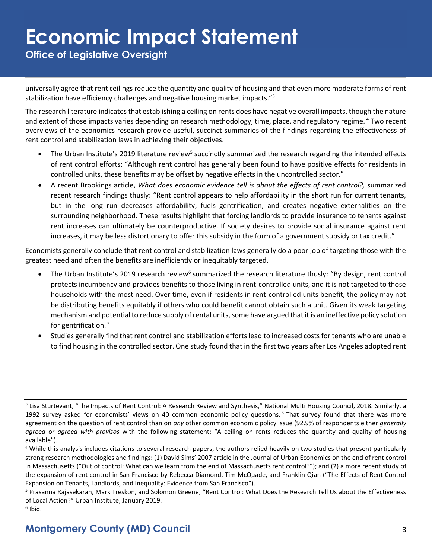**Office of Legislative Oversight**

universally agree that rent ceilings reduce the quantity and quality of housing and that even more moderate forms of rent stabilization have efficiency challenges and negative housing market impacts."<sup>3</sup>

The research literature indicates that establishing a ceiling on rents does have negative overall impacts, though the nature and extent of those impacts varies depending on research methodology, time, place, and regulatory regime. <sup>4</sup> Two recent overviews of the economics research provide useful, succinct summaries of the findings regarding the effectiveness of rent control and stabilization laws in achieving their objectives.

- The Urban Institute's 2019 literature review<sup>5</sup> succinctly summarized the research regarding the intended effects of rent control efforts: "Although rent control has generally been found to have positive effects for residents in controlled units, these benefits may be offset by negative effects in the uncontrolled sector."
- A recent Brookings article, *What does economic evidence tell is about the effects of rent control?,* summarized recent research findings thusly: "Rent control appears to help affordability in the short run for current tenants, but in the long run decreases affordability, fuels gentrification, and creates negative externalities on the surrounding neighborhood. These results highlight that forcing landlords to provide insurance to tenants against rent increases can ultimately be counterproductive. If society desires to provide social insurance against rent increases, it may be less distortionary to offer this subsidy in the form of a government subsidy or tax credit."

Economists generally conclude that rent control and stabilization laws generally do a poor job of targeting those with the greatest need and often the benefits are inefficiently or inequitably targeted.

- The Urban Institute's 2019 research review<sup>6</sup> summarized the research literature thusly: "By design, rent control protects incumbency and provides benefits to those living in rent-controlled units, and it is not targeted to those households with the most need. Over time, even if residents in rent-controlled units benefit, the policy may not be distributing benefits equitably if others who could benefit cannot obtain such a unit. Given its weak targeting mechanism and potential to reduce supply of rental units, some have argued that it is an ineffective policy solution for gentrification."
- Studies generally find that rent control and stabilization efforts lead to increased costs for tenants who are unable to find housing in the controlled sector. One study found that in the first two years after Los Angeles adopted rent

<sup>&</sup>lt;sup>3</sup> Lisa Sturtevant, "The Impacts of Rent Control: A Research Review and Synthesis," National Multi Housing Council, 2018. Similarly, a 1992 survey asked for economists' views on 40 common economic policy questions.<sup>3</sup> That survey found that there was more agreement on the question of rent control than on *any* other common economic policy issue (92.9% of respondents either *generally agreed* or *agreed with provisos* with the following statement: "A ceiling on rents reduces the quantity and quality of housing available").

<sup>&</sup>lt;sup>4</sup> While this analysis includes citations to several research papers, the authors relied heavily on two studies that present particularly strong research methodologies and findings: (1) David Sims' 2007 article in the Journal of Urban Economics on the end of rent control in Massachusetts ("Out of control: What can we learn from the end of Massachusetts rent control?"); and (2) a more recent study of the expansion of rent control in San Francisco by Rebecca Diamond, Tim McQuade, and Franklin Qian ("The Effects of Rent Control Expansion on Tenants, Landlords, and Inequality: Evidence from San Francisco").

<sup>&</sup>lt;sup>5</sup> Prasanna Rajasekaran, Mark Treskon, and Solomon Greene, "Rent Control: What Does the Research Tell Us about the Effectiveness of Local Action?" Urban Institute, January 2019.

 $^6$  Ibid.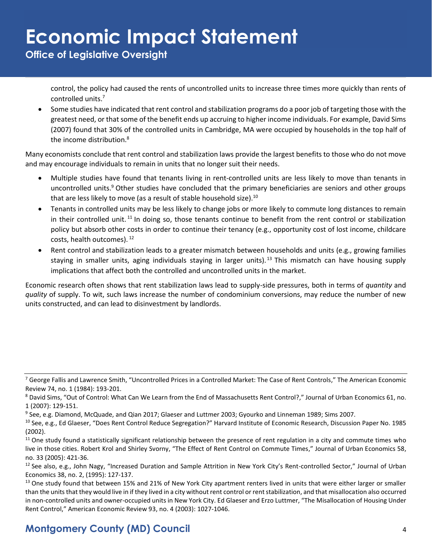**Office of Legislative Oversight**

control, the policy had caused the rents of uncontrolled units to increase three times more quickly than rents of controlled units.<sup>7</sup>

• Some studies have indicated that rent control and stabilization programs do a poor job of targeting those with the greatest need, or that some of the benefit ends up accruing to higher income individuals. For example, David Sims (2007) found that 30% of the controlled units in Cambridge, MA were occupied by households in the top half of the income distribution.<sup>8</sup>

Many economists conclude that rent control and stabilization laws provide the largest benefits to those who do not move and may encourage individuals to remain in units that no longer suit their needs.

- Multiple studies have found that tenants living in rent-controlled units are less likely to move than tenants in uncontrolled units.<sup>9</sup> Other studies have concluded that the primary beneficiaries are seniors and other groups that are less likely to move (as a result of stable household size).<sup>10</sup>
- Tenants in controlled units may be less likely to change jobs or more likely to commute long distances to remain in their controlled unit.<sup>11</sup> In doing so, those tenants continue to benefit from the rent control or stabilization policy but absorb other costs in order to continue their tenancy (e.g., opportunity cost of lost income, childcare costs, health outcomes). <sup>12</sup>
- Rent control and stabilization leads to a greater mismatch between households and units (e.g., growing families staying in smaller units, aging individuals staying in larger units).<sup>13</sup> This mismatch can have housing supply implications that affect both the controlled and uncontrolled units in the market.

Economic research often shows that rent stabilization laws lead to supply-side pressures, both in terms of *quantity* and *quality* of supply. To wit, such laws increase the number of condominium conversions, may reduce the number of new units constructed, and can lead to disinvestment by landlords.

<sup>&</sup>lt;sup>7</sup> George Fallis and Lawrence Smith, "Uncontrolled Prices in a Controlled Market: The Case of Rent Controls," The American Economic Review 74, no. 1 (1984): 193-201.

<sup>8</sup> David Sims, "Out of Control: What Can We Learn from the End of Massachusetts Rent Control?," Journal of Urban Economics 61, no. 1 (2007): 129-151.

<sup>9</sup> See, e.g. Diamond, McQuade, and Qian 2017; Glaeser and Luttmer 2003; Gyourko and Linneman 1989; Sims 2007.

<sup>&</sup>lt;sup>10</sup> See, e.g., Ed Glaeser, "Does Rent Control Reduce Segregation?" Harvard Institute of Economic Research, Discussion Paper No. 1985 (2002).

 $11$  One study found a statistically significant relationship between the presence of rent regulation in a city and commute times who live in those cities. Robert Krol and Shirley Svorny, "The Effect of Rent Control on Commute Times," Journal of Urban Economics 58, no. 33 (2005): 421-36.

<sup>&</sup>lt;sup>12</sup> See also, e.g., John Nagy, "Increased Duration and Sample Attrition in New York City's Rent-controlled Sector," Journal of Urban Economics 38, no. 2, (1995): 127-137.

<sup>&</sup>lt;sup>13</sup> One study found that between 15% and 21% of New York City apartment renters lived in units that were either larger or smaller than the units that they would live in if they lived in a city without rent control or rent stabilization, and that misallocation also occurred in non-controlled units and owner-occupied units in New York City. Ed Glaeser and Erzo Luttmer, "The Misallocation of Housing Under Rent Control," American Economic Review 93, no. 4 (2003): 1027-1046.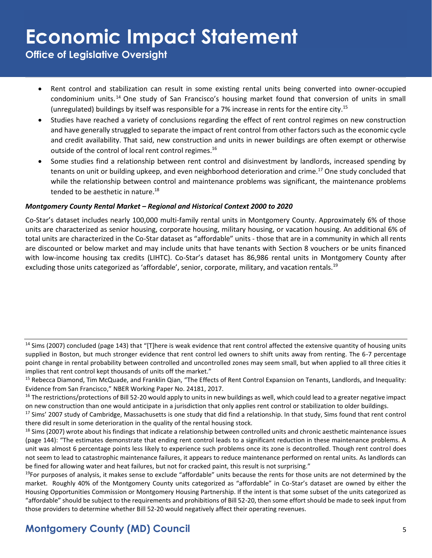**Office of Legislative Oversight**

- Rent control and stabilization can result in some existing rental units being converted into owner-occupied condominium units.<sup>14</sup> One study of San Francisco's housing market found that conversion of units in small (unregulated) buildings by itself was responsible for a 7% increase in rents for the entire city.<sup>15</sup>
- Studies have reached a variety of conclusions regarding the effect of rent control regimes on new construction and have generally struggled to separate the impact of rent control from other factors such as the economic cycle and credit availability. That said, new construction and units in newer buildings are often exempt or otherwise outside of the control of local rent control regimes.<sup>16</sup>
- Some studies find a relationship between rent control and disinvestment by landlords, increased spending by tenants on unit or building upkeep, and even neighborhood deterioration and crime.<sup>17</sup> One study concluded that while the relationship between control and maintenance problems was significant, the maintenance problems tended to be aesthetic in nature.<sup>18</sup>

#### *Montgomery County Rental Market – Regional and Historical Context 2000 to 2020*

Co-Star's dataset includes nearly 100,000 multi-family rental units in Montgomery County. Approximately 6% of those units are characterized as senior housing, corporate housing, military housing, or vacation housing. An additional 6% of total units are characterized in the Co-Star dataset as "affordable" units - those that are in a community in which all rents are discounted or below market and may include units that have tenants with Section 8 vouchers or be units financed with low-income housing tax credits (LIHTC). Co-Star's dataset has 86,986 rental units in Montgomery County after excluding those units categorized as 'affordable', senior, corporate, military, and vacation rentals.<sup>19</sup>

 $14$  Sims (2007) concluded (page 143) that "[T]here is weak evidence that rent control affected the extensive quantity of housing units supplied in Boston, but much stronger evidence that rent control led owners to shift units away from renting. The 6-7 percentage point change in rental probability between controlled and uncontrolled zones may seem small, but when applied to all three cities it implies that rent control kept thousands of units off the market."

<sup>&</sup>lt;sup>15</sup> Rebecca Diamond, Tim McQuade, and Franklin Qian, "The Effects of Rent Control Expansion on Tenants, Landlords, and Inequality: Evidence from San Francisco," NBER Working Paper No. 24181, 2017.

 $16$  The restrictions/protections of Bill 52-20 would apply to units in new buildings as well, which could lead to a greater negative impact on new construction than one would anticipate in a jurisdiction that only applies rent control or stabilization to older buildings.

<sup>&</sup>lt;sup>17</sup> Sims' 2007 study of Cambridge, Massachusetts is one study that did find a relationship. In that study, Sims found that rent control there did result in some deterioration in the quality of the rental housing stock.

<sup>&</sup>lt;sup>18</sup> Sims (2007) wrote about his findings that indicate a relationship between controlled units and chronic aesthetic maintenance issues (page 144): "The estimates demonstrate that ending rent control leads to a significant reduction in these maintenance problems. A unit was almost 6 percentage points less likely to experience such problems once its zone is decontrolled. Though rent control does not seem to lead to catastrophic maintenance failures, it appears to reduce maintenance performed on rental units. As landlords can be fined for allowing water and heat failures, but not for cracked paint, this result is not surprising."

 $19$ For purposes of analysis, it makes sense to exclude "affordable" units because the rents for those units are not determined by the market. Roughly 40% of the Montgomery County units categorized as "affordable" in Co-Star's dataset are owned by either the Housing Opportunities Commission or Montgomery Housing Partnership. If the intent is that some subset of the units categorized as "affordable" should be subject to the requirements and prohibitions of Bill 52-20, then some effort should be made to seek input from those providers to determine whether Bill 52-20 would negatively affect their operating revenues.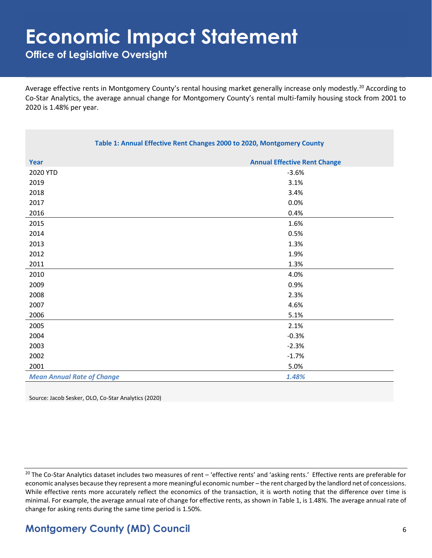**Office of Legislative Oversight**

Average effective rents in Montgomery County's rental housing market generally increase only modestly.<sup>20</sup> According to Co-Star Analytics, the average annual change for Montgomery County's rental multi-family housing stock from 2001 to 2020 is 1.48% per year.

| Table 1: Annual Effective Rent Changes 2000 to 2020, Montgomery County |                                     |  |
|------------------------------------------------------------------------|-------------------------------------|--|
| Year                                                                   | <b>Annual Effective Rent Change</b> |  |
| 2020 YTD                                                               | $-3.6%$                             |  |
| 2019                                                                   | 3.1%                                |  |
| 2018                                                                   | 3.4%                                |  |
| 2017                                                                   | 0.0%                                |  |
| 2016                                                                   | 0.4%                                |  |
| 2015                                                                   | 1.6%                                |  |
| 2014                                                                   | 0.5%                                |  |
| 2013                                                                   | 1.3%                                |  |
| 2012                                                                   | 1.9%                                |  |
| 2011                                                                   | 1.3%                                |  |
| 2010                                                                   | 4.0%                                |  |
| 2009                                                                   | 0.9%                                |  |
| 2008                                                                   | 2.3%                                |  |
| 2007                                                                   | 4.6%                                |  |
| 2006                                                                   | 5.1%                                |  |
| 2005                                                                   | 2.1%                                |  |
| 2004                                                                   | $-0.3%$                             |  |
| 2003                                                                   | $-2.3%$                             |  |
| 2002                                                                   | $-1.7%$                             |  |
| 2001                                                                   | 5.0%                                |  |
| <b>Mean Annual Rate of Change</b>                                      | 1.48%                               |  |

Source: Jacob Sesker, OLO, Co-Star Analytics (2020)

<sup>20</sup> The Co-Star Analytics dataset includes two measures of rent – 'effective rents' and 'asking rents.' Effective rents are preferable for economic analyses because they represent a more meaningful economic number – the rent charged by the landlord net of concessions. While effective rents more accurately reflect the economics of the transaction, it is worth noting that the difference over time is minimal. For example, the average annual rate of change for effective rents, as shown in Table 1, is 1.48%. The average annual rate of change for asking rents during the same time period is 1.50%.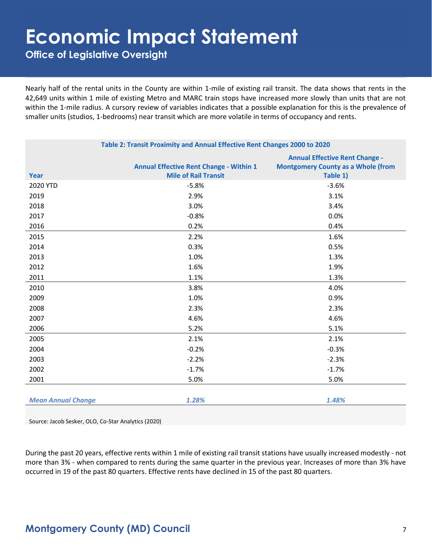**Office of Legislative Oversight**

Nearly half of the rental units in the County are within 1-mile of existing rail transit. The data shows that rents in the 42,649 units within 1 mile of existing Metro and MARC train stops have increased more slowly than units that are not within the 1-mile radius. A cursory review of variables indicates that a possible explanation for this is the prevalence of smaller units (studios, 1-bedrooms) near transit which are more volatile in terms of occupancy and rents.

| Table 2: Transit Proximity and Annual Effective Rent Changes 2000 to 2020 |                                                                               |                                                                                                |
|---------------------------------------------------------------------------|-------------------------------------------------------------------------------|------------------------------------------------------------------------------------------------|
| <b>Year</b>                                                               | <b>Annual Effective Rent Change - Within 1</b><br><b>Mile of Rail Transit</b> | <b>Annual Effective Rent Change -</b><br><b>Montgomery County as a Whole (from</b><br>Table 1) |
| 2020 YTD                                                                  | $-5.8%$                                                                       | $-3.6%$                                                                                        |
| 2019                                                                      | 2.9%                                                                          | 3.1%                                                                                           |
| 2018                                                                      | 3.0%                                                                          | 3.4%                                                                                           |
| 2017                                                                      | $-0.8%$                                                                       | 0.0%                                                                                           |
| 2016                                                                      | 0.2%                                                                          | 0.4%                                                                                           |
| 2015                                                                      | 2.2%                                                                          | 1.6%                                                                                           |
| 2014                                                                      | 0.3%                                                                          | 0.5%                                                                                           |
| 2013                                                                      | 1.0%                                                                          | 1.3%                                                                                           |
| 2012                                                                      | 1.6%                                                                          | 1.9%                                                                                           |
| 2011                                                                      | 1.1%                                                                          | 1.3%                                                                                           |
| 2010                                                                      | 3.8%                                                                          | 4.0%                                                                                           |
| 2009                                                                      | 1.0%                                                                          | 0.9%                                                                                           |
| 2008                                                                      | 2.3%                                                                          | 2.3%                                                                                           |
| 2007                                                                      | 4.6%                                                                          | 4.6%                                                                                           |
| 2006                                                                      | 5.2%                                                                          | 5.1%                                                                                           |
| 2005                                                                      | 2.1%                                                                          | 2.1%                                                                                           |
| 2004                                                                      | $-0.2%$                                                                       | $-0.3%$                                                                                        |
| 2003                                                                      | $-2.2%$                                                                       | $-2.3%$                                                                                        |
| 2002                                                                      | $-1.7%$                                                                       | $-1.7%$                                                                                        |
| 2001                                                                      | 5.0%                                                                          | 5.0%                                                                                           |
|                                                                           |                                                                               |                                                                                                |
| <b>Mean Annual Change</b>                                                 | 1.28%                                                                         | 1.48%                                                                                          |

Source: Jacob Sesker, OLO, Co-Star Analytics (2020)

During the past 20 years, effective rents within 1 mile of existing rail transit stations have usually increased modestly - not more than 3% - when compared to rents during the same quarter in the previous year. Increases of more than 3% have occurred in 19 of the past 80 quarters. Effective rents have declined in 15 of the past 80 quarters.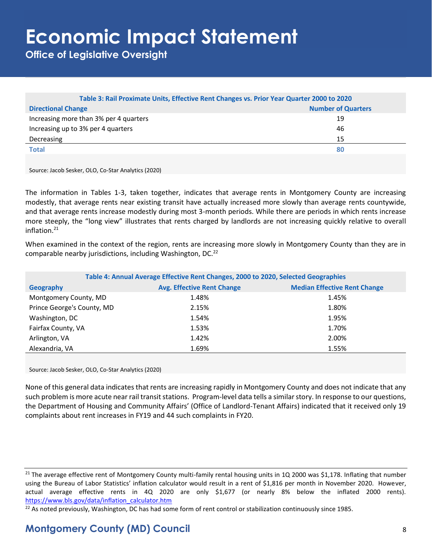**Office of Legislative Oversight**

| Table 3: Rail Proximate Units, Effective Rent Changes vs. Prior Year Quarter 2000 to 2020 |                           |  |
|-------------------------------------------------------------------------------------------|---------------------------|--|
| <b>Directional Change</b>                                                                 | <b>Number of Quarters</b> |  |
| Increasing more than 3% per 4 quarters                                                    | 19                        |  |
| Increasing up to 3% per 4 quarters                                                        | 46                        |  |
| Decreasing                                                                                | 15                        |  |
| <b>Total</b>                                                                              | 80                        |  |
|                                                                                           |                           |  |

Source: Jacob Sesker, OLO, Co-Star Analytics (2020)

The information in Tables 1-3, taken together, indicates that average rents in Montgomery County are increasing modestly, that average rents near existing transit have actually increased more slowly than average rents countywide, and that average rents increase modestly during most 3-month periods. While there are periods in which rents increase more steeply, the "long view" illustrates that rents charged by landlords are not increasing quickly relative to overall inflation.<sup>21</sup>

When examined in the context of the region, rents are increasing more slowly in Montgomery County than they are in comparable nearby jurisdictions, including Washington, DC.<sup>22</sup>

| Table 4: Annual Average Effective Rent Changes, 2000 to 2020, Selected Geographies |                                   |                                     |  |
|------------------------------------------------------------------------------------|-----------------------------------|-------------------------------------|--|
| Geography                                                                          | <b>Avg. Effective Rent Change</b> | <b>Median Effective Rent Change</b> |  |
| Montgomery County, MD                                                              | 1.48%                             | 1.45%                               |  |
| Prince George's County, MD                                                         | 2.15%                             | 1.80%                               |  |
| Washington, DC                                                                     | 1.54%                             | 1.95%                               |  |
| Fairfax County, VA                                                                 | 1.53%                             | 1.70%                               |  |
| Arlington, VA                                                                      | 1.42%                             | 2.00%                               |  |
| Alexandria, VA                                                                     | 1.69%                             | 1.55%                               |  |

Source: Jacob Sesker, OLO, Co-Star Analytics (2020)

None of this general data indicates that rents are increasing rapidly in Montgomery County and does not indicate that any such problem is more acute near rail transit stations. Program-level data tells a similar story. In response to our questions, the Department of Housing and Community Affairs' (Office of Landlord-Tenant Affairs) indicated that it received only 19 complaints about rent increases in FY19 and 44 such complaints in FY20.

 $^{22}$  As noted previously, Washington, DC has had some form of rent control or stabilization continuously since 1985.

<sup>&</sup>lt;sup>21</sup> The average effective rent of Montgomery County multi-family rental housing units in 1Q 2000 was \$1,178. Inflating that number using the Bureau of Labor Statistics' inflation calculator would result in a rent of \$1,816 per month in November 2020. However, actual average effective rents in 4Q 2020 are only \$1,677 (or nearly 8% below the inflated 2000 rents). [https://www.bls.gov/data/inflation\\_calculator.htm](https://www.bls.gov/data/inflation_calculator.htm)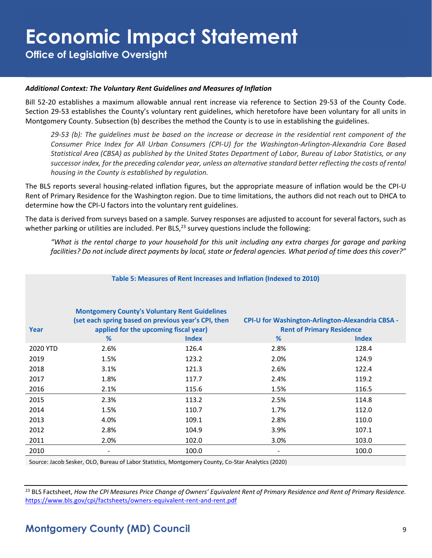**Office of Legislative Oversight**

#### *Additional Context: The Voluntary Rent Guidelines and Measures of Inflation*

Bill 52-20 establishes a maximum allowable annual rent increase via reference to Section 29-53 of the County Code. Section 29-53 establishes the County's voluntary rent guidelines, which heretofore have been voluntary for all units in Montgomery County. Subsection (b) describes the method the County is to use in establishing the guidelines.

*29-53 (b): The guidelines must be based on the increase or decrease in the residential rent component of the Consumer Price Index for All Urban Consumers (CPI-U) for the Washington-Arlington-Alexandria Core Based Statistical Area (CBSA) as published by the United States Department of Labor, Bureau of Labor Statistics, or any successor index, for the preceding calendar year, unless an alternative standard better reflecting the costs of rental housing in the County is established by regulation.*

The BLS reports several housing-related inflation figures, but the appropriate measure of inflation would be the CPI-U Rent of Primary Residence for the Washington region. Due to time limitations, the authors did not reach out to DHCA to determine how the CPI-U factors into the voluntary rent guidelines.

The data is derived from surveys based on a sample. Survey responses are adjusted to account for several factors, such as whether parking or utilities are included. Per BLS, $^{23}$  survey questions include the following:

*"What is the rental charge to your household for this unit including any extra charges for garage and parking facilities? Do not include direct payments by local, state or federal agencies. What period of time does this cover?"*

| Table 5: Measures of Rent Increases and Inflation (Indexed to 2010) |      |                                                                                                                                                                      |      |                                                                                                             |
|---------------------------------------------------------------------|------|----------------------------------------------------------------------------------------------------------------------------------------------------------------------|------|-------------------------------------------------------------------------------------------------------------|
| Year                                                                | %    | <b>Montgomery County's Voluntary Rent Guidelines</b><br>(set each spring based on previous year's CPI, then<br>applied for the upcoming fiscal year)<br><b>Index</b> | %    | <b>CPI-U for Washington-Arlington-Alexandria CBSA -</b><br><b>Rent of Primary Residence</b><br><b>Index</b> |
| 2020 YTD                                                            | 2.6% | 126.4                                                                                                                                                                | 2.8% | 128.4                                                                                                       |
| 2019                                                                | 1.5% | 123.2                                                                                                                                                                | 2.0% | 124.9                                                                                                       |
| 2018                                                                | 3.1% | 121.3                                                                                                                                                                | 2.6% | 122.4                                                                                                       |
| 2017                                                                | 1.8% | 117.7                                                                                                                                                                | 2.4% | 119.2                                                                                                       |
| 2016                                                                | 2.1% | 115.6                                                                                                                                                                | 1.5% | 116.5                                                                                                       |
| 2015                                                                | 2.3% | 113.2                                                                                                                                                                | 2.5% | 114.8                                                                                                       |
| 2014                                                                | 1.5% | 110.7                                                                                                                                                                | 1.7% | 112.0                                                                                                       |
| 2013                                                                | 4.0% | 109.1                                                                                                                                                                | 2.8% | 110.0                                                                                                       |
| 2012                                                                | 2.8% | 104.9                                                                                                                                                                | 3.9% | 107.1                                                                                                       |
| 2011                                                                | 2.0% | 102.0                                                                                                                                                                | 3.0% | 103.0                                                                                                       |
| 2010                                                                |      | 100.0                                                                                                                                                                |      | 100.0                                                                                                       |

Source: Jacob Sesker, OLO, Bureau of Labor Statistics, Montgomery County, Co-Star Analytics (2020)

<sup>23</sup> BLS Factsheet, *How the CPI Measures Price Change of Owners' Equivalent Rent of Primary Residence and Rent of Primary Residence.*  <https://www.bls.gov/cpi/factsheets/owners-equivalent-rent-and-rent.pdf>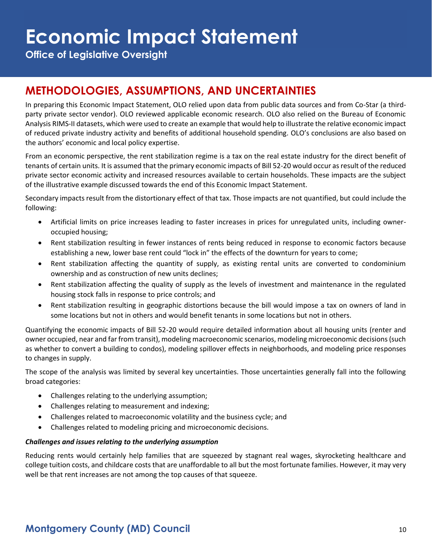**Office of Legislative Oversight**

## **METHODOLOGIES, ASSUMPTIONS, AND UNCERTAINTIES**

In preparing this Economic Impact Statement, OLO relied upon data from public data sources and from Co-Star (a thirdparty private sector vendor). OLO reviewed applicable economic research. OLO also relied on the Bureau of Economic Analysis RIMS-II datasets, which were used to create an example that would help to illustrate the relative economic impact of reduced private industry activity and benefits of additional household spending. OLO's conclusions are also based on the authors' economic and local policy expertise.

From an economic perspective, the rent stabilization regime is a tax on the real estate industry for the direct benefit of tenants of certain units. It is assumed that the primary economic impacts of Bill 52-20 would occur as result of the reduced private sector economic activity and increased resources available to certain households. These impacts are the subject of the illustrative example discussed towards the end of this Economic Impact Statement.

Secondary impacts result from the distortionary effect of that tax. Those impacts are not quantified, but could include the following:

- Artificial limits on price increases leading to faster increases in prices for unregulated units, including owneroccupied housing;
- Rent stabilization resulting in fewer instances of rents being reduced in response to economic factors because establishing a new, lower base rent could "lock in" the effects of the downturn for years to come;
- Rent stabilization affecting the quantity of supply, as existing rental units are converted to condominium ownership and as construction of new units declines;
- Rent stabilization affecting the quality of supply as the levels of investment and maintenance in the regulated housing stock falls in response to price controls; and
- Rent stabilization resulting in geographic distortions because the bill would impose a tax on owners of land in some locations but not in others and would benefit tenants in some locations but not in others.

Quantifying the economic impacts of Bill 52-20 would require detailed information about all housing units (renter and owner occupied, near and far from transit), modeling macroeconomic scenarios, modeling microeconomic decisions (such as whether to convert a building to condos), modeling spillover effects in neighborhoods, and modeling price responses to changes in supply.

The scope of the analysis was limited by several key uncertainties. Those uncertainties generally fall into the following broad categories:

- Challenges relating to the underlying assumption;
- Challenges relating to measurement and indexing;
- Challenges related to macroeconomic volatility and the business cycle; and
- Challenges related to modeling pricing and microeconomic decisions.

#### *Challenges and issues relating to the underlying assumption*

Reducing rents would certainly help families that are squeezed by stagnant real wages, skyrocketing healthcare and college tuition costs, and childcare costs that are unaffordable to all but the most fortunate families. However, it may very well be that rent increases are not among the top causes of that squeeze.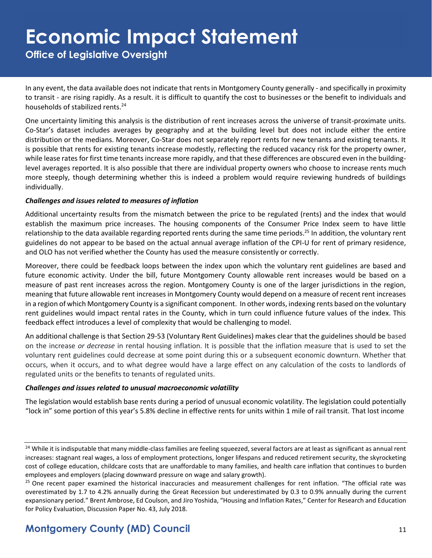**Office of Legislative Oversight**

In any event, the data available does not indicate that rents in Montgomery County generally - and specifically in proximity to transit - are rising rapidly. As a result. it is difficult to quantify the cost to businesses or the benefit to individuals and households of stabilized rents.<sup>24</sup>

One uncertainty limiting this analysis is the distribution of rent increases across the universe of transit-proximate units. Co-Star's dataset includes averages by geography and at the building level but does not include either the entire distribution or the medians. Moreover, Co-Star does not separately report rents for new tenants and existing tenants. It is possible that rents for existing tenants increase modestly, reflecting the reduced vacancy risk for the property owner, while lease rates for first time tenants increase more rapidly, and that these differences are obscured even in the buildinglevel averages reported. It is also possible that there are individual property owners who choose to increase rents much more steeply, though determining whether this is indeed a problem would require reviewing hundreds of buildings individually.

#### *Challenges and issues related to measures of inflation*

Additional uncertainty results from the mismatch between the price to be regulated (rents) and the index that would establish the maximum price increases. The housing components of the Consumer Price Index seem to have little relationship to the data available regarding reported rents during the same time periods.<sup>25</sup> In addition, the voluntary rent guidelines do not appear to be based on the actual annual average inflation of the CPI-U for rent of primary residence, and OLO has not verified whether the County has used the measure consistently or correctly.

Moreover, there could be feedback loops between the index upon which the voluntary rent guidelines are based and future economic activity. Under the bill, future Montgomery County allowable rent increases would be based on a measure of past rent increases across the region. Montgomery County is one of the larger jurisdictions in the region, meaning that future allowable rent increases in Montgomery County would depend on a measure of recent rent increases in a region of which Montgomery County is a significant component. In other words, indexing rents based on the voluntary rent guidelines would impact rental rates in the County, which in turn could influence future values of the index. This feedback effect introduces a level of complexity that would be challenging to model.

An additional challenge is that Section 29-53 (Voluntary Rent Guidelines) makes clear that the guidelines should be based on the increase *or decrease* in rental housing inflation. It is possible that the inflation measure that is used to set the voluntary rent guidelines could decrease at some point during this or a subsequent economic downturn. Whether that occurs, when it occurs, and to what degree would have a large effect on any calculation of the costs to landlords of regulated units or the benefits to tenants of regulated units.

#### *Challenges and issues related to unusual macroeconomic volatility*

The legislation would establish base rents during a period of unusual economic volatility. The legislation could potentially "lock in" some portion of this year's 5.8% decline in effective rents for units within 1 mile of rail transit. That lost income

<sup>&</sup>lt;sup>24</sup> While it is indisputable that many middle-class families are feeling squeezed, several factors are at least as significant as annual rent increases: stagnant real wages, a loss of employment protections, longer lifespans and reduced retirement security, the skyrocketing cost of college education, childcare costs that are unaffordable to many families, and health care inflation that continues to burden employees and employers (placing downward pressure on wage and salary growth).

<sup>&</sup>lt;sup>25</sup> One recent paper examined the historical inaccuracies and measurement challenges for rent inflation. "The official rate was overestimated by 1.7 to 4.2% annually during the Great Recession but underestimated by 0.3 to 0.9% annually during the current expansionary period." Brent Ambrose, Ed Coulson, and Jiro Yoshida, "Housing and Inflation Rates," Center for Research and Education for Policy Evaluation, Discussion Paper No. 43, July 2018.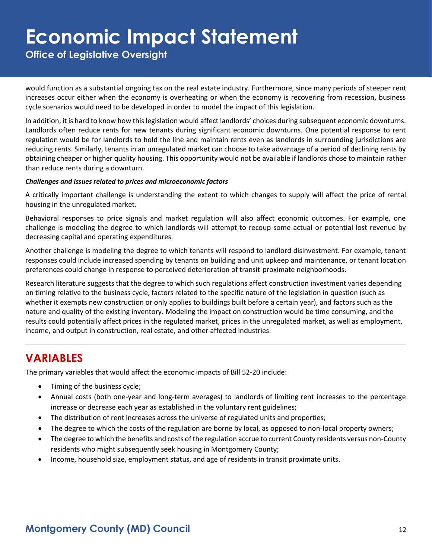**Office of Legislative Oversight**

would function as a substantial ongoing tax on the real estate industry. Furthermore, since many periods of steeper rent increases occur either when the economy is overheating or when the economy is recovering from recession, business cycle scenarios would need to be developed in order to model the impact of this legislation.

In addition, it is hard to know how this legislation would affect landlords' choices during subsequent economic downturns. Landlords often reduce rents for new tenants during significant economic downturns. One potential response to rent regulation would be for landlords to hold the line and maintain rents even as landlords in surrounding jurisdictions are reducing rents. Similarly, tenants in an unregulated market can choose to take advantage of a period of declining rents by obtaining cheaper or higher quality housing. This opportunity would not be available if landlords chose to maintain rather than reduce rents during a downturn.

#### *Challenges and issues related to prices and microeconomic factors*

A critically important challenge is understanding the extent to which changes to supply will affect the price of rental housing in the unregulated market.

Behavioral responses to price signals and market regulation will also affect economic outcomes. For example, one challenge is modeling the degree to which landlords will attempt to recoup some actual or potential lost revenue by decreasing capital and operating expenditures.

Another challenge is modeling the degree to which tenants will respond to landlord disinvestment. For example, tenant responses could include increased spending by tenants on building and unit upkeep and maintenance, or tenant location preferences could change in response to perceived deterioration of transit-proximate neighborhoods.

Research literature suggests that the degree to which such regulations affect construction investment varies depending on timing relative to the business cycle, factors related to the specific nature of the legislation in question (such as whether it exempts new construction or only applies to buildings built before a certain year), and factors such as the nature and quality of the existing inventory. Modeling the impact on construction would be time consuming, and the results could potentially affect prices in the regulated market, prices in the unregulated market, as well as employment, income, and output in construction, real estate, and other affected industries.

## **VARIABLES**

The primary variables that would affect the economic impacts of Bill 52-20 include:

- Timing of the business cycle;
- Annual costs (both one-year and long-term averages) to landlords of limiting rent increases to the percentage increase or decrease each year as established in the voluntary rent guidelines;
- The distribution of rent increases across the universe of regulated units and properties;
- The degree to which the costs of the regulation are borne by local, as opposed to non-local property owners;
- The degree to which the benefits and costs of the regulation accrue to current County residents versus non-County residents who might subsequently seek housing in Montgomery County;
- Income, household size, employment status, and age of residents in transit proximate units.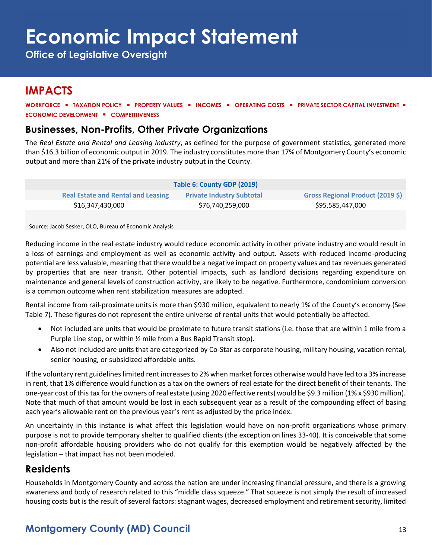**Office of Legislative Oversight**

### **IMPACTS**

**WORKFORCE** ▪ **TAXATION POLICY** ▪ **PROPERTY VALUES** ▪ **INCOMES** ▪ **OPERATING COSTS** ▪ **PRIVATE SECTOR CAPITAL INVESTMENT** ▪ **ECONOMIC DEVELOPMENT** ▪ **COMPETITIVENESS**

### **Businesses, Non-Profits, Other Private Organizations**

The *Real Estate and Rental and Leasing Industry*, as defined for the purpose of government statistics, generated more than \$16.3 billion of economic output in 2019. The industry constitutes more than 17% of Montgomery County's economic output and more than 21% of the private industry output in the County.

| Table 6: County GDP (2019)                |                                  |                                  |  |  |
|-------------------------------------------|----------------------------------|----------------------------------|--|--|
| <b>Real Estate and Rental and Leasing</b> | <b>Private Industry Subtotal</b> | Gross Regional Product (2019 \$) |  |  |
| \$16,347,430,000                          | \$76,740,259,000                 | \$95,585,447,000                 |  |  |

Source: Jacob Sesker, OLO, Bureau of Economic Analysis

Reducing income in the real estate industry would reduce economic activity in other private industry and would result in a loss of earnings and employment as well as economic activity and output. Assets with reduced income-producing potential are less valuable, meaning that there would be a negative impact on property values and tax revenues generated by properties that are near transit. Other potential impacts, such as landlord decisions regarding expenditure on maintenance and general levels of construction activity, are likely to be negative. Furthermore, condominium conversion is a common outcome when rent stabilization measures are adopted.

Rental income from rail-proximate units is more than \$930 million, equivalent to nearly 1% of the County's economy (See Table 7). These figures do not represent the entire universe of rental units that would potentially be affected.

- Not included are units that would be proximate to future transit stations (i.e. those that are within 1 mile from a Purple Line stop, or within ½ mile from a Bus Rapid Transit stop).
- Also not included are units that are categorized by Co-Star as corporate housing, military housing, vacation rental, senior housing, or subsidized affordable units.

If the voluntary rent guidelines limited rent increases to 2% when market forces otherwise would have led to a 3% increase in rent, that 1% difference would function as a tax on the owners of real estate for the direct benefit of their tenants. The one-year cost of this tax for the owners of real estate (using 2020 effective rents) would be \$9.3 million (1% x \$930 million). Note that much of that amount would be lost in each subsequent year as a result of the compounding effect of basing each year's allowable rent on the previous year's rent as adjusted by the price index.

An uncertainty in this instance is what affect this legislation would have on non-profit organizations whose primary purpose is not to provide temporary shelter to qualified clients (the exception on lines 33-40). It is conceivable that some non-profit affordable housing providers who do not qualify for this exemption would be negatively affected by the legislation – that impact has not been modeled.

### **Residents**

Households in Montgomery County and across the nation are under increasing financial pressure, and there is a growing awareness and body of research related to this "middle class squeeze." That squeeze is not simply the result of increased housing costs but is the result of several factors: stagnant wages, decreased employment and retirement security, limited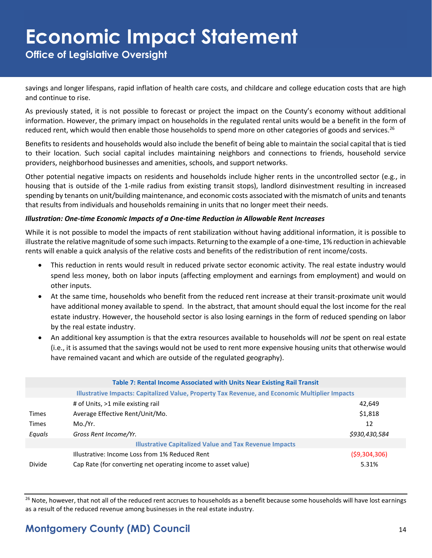**Office of Legislative Oversight**

savings and longer lifespans, rapid inflation of health care costs, and childcare and college education costs that are high and continue to rise.

As previously stated, it is not possible to forecast or project the impact on the County's economy without additional information. However, the primary impact on households in the regulated rental units would be a benefit in the form of reduced rent, which would then enable those households to spend more on other categories of goods and services.<sup>26</sup>

Benefits to residents and households would also include the benefit of being able to maintain the social capital that is tied to their location. Such social capital includes maintaining neighbors and connections to friends, household service providers, neighborhood businesses and amenities, schools, and support networks.

Other potential negative impacts on residents and households include higher rents in the uncontrolled sector (e.g., in housing that is outside of the 1-mile radius from existing transit stops), landlord disinvestment resulting in increased spending by tenants on unit/building maintenance, and economic costs associated with the mismatch of units and tenants that results from individuals and households remaining in units that no longer meet their needs.

#### *Illustration: One-time Economic Impacts of a One-time Reduction in Allowable Rent Increases*

While it is not possible to model the impacts of rent stabilization without having additional information, it is possible to illustrate the relative magnitude of some such impacts. Returning to the example of a one-time, 1% reduction in achievable rents will enable a quick analysis of the relative costs and benefits of the redistribution of rent income/costs.

- This reduction in rents would result in reduced private sector economic activity. The real estate industry would spend less money, both on labor inputs (affecting employment and earnings from employment) and would on other inputs.
- At the same time, households who benefit from the reduced rent increase at their transit-proximate unit would have additional money available to spend. In the abstract, that amount should equal the lost income for the real estate industry. However, the household sector is also losing earnings in the form of reduced spending on labor by the real estate industry.
- An additional key assumption is that the extra resources available to households will *not* be spent on real estate (i.e., it is assumed that the savings would not be used to rent more expensive housing units that otherwise would have remained vacant and which are outside of the regulated geography).

|                                                               | Table 7: Rental Income Associated with Units Near Existing Rail Transit                        |                |  |
|---------------------------------------------------------------|------------------------------------------------------------------------------------------------|----------------|--|
|                                                               | Illustrative Impacts: Capitalized Value, Property Tax Revenue, and Economic Multiplier Impacts |                |  |
|                                                               | # of Units, >1 mile existing rail                                                              | 42,649         |  |
| <b>Times</b>                                                  | Average Effective Rent/Unit/Mo.                                                                | \$1,818        |  |
| <b>Times</b>                                                  | Mo./Yr.                                                                                        | 12             |  |
| Equals                                                        | Gross Rent Income/Yr.                                                                          | \$930,430,584  |  |
| <b>Illustrative Capitalized Value and Tax Revenue Impacts</b> |                                                                                                |                |  |
|                                                               | Illustrative: Income Loss from 1% Reduced Rent                                                 | ( \$9,304,306) |  |
| Divide                                                        | Cap Rate (for converting net operating income to asset value)                                  | 5.31%          |  |

<sup>26</sup> Note, however, that not all of the reduced rent accrues to households as a benefit because some households will have lost earnings as a result of the reduced revenue among businesses in the real estate industry.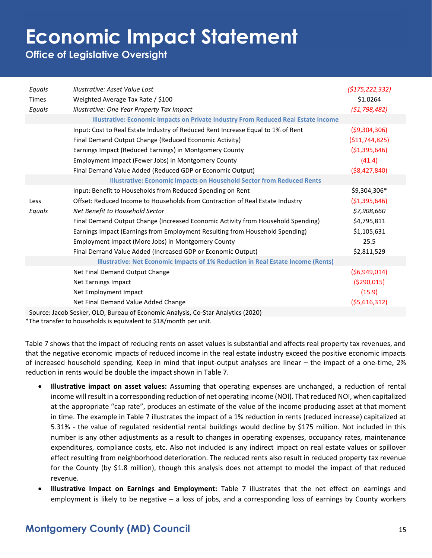**Office of Legislative Oversight**

| Equals       | Illustrative: Asset Value Lost                                                     | (5175, 222, 332) |
|--------------|------------------------------------------------------------------------------------|------------------|
| <b>Times</b> | Weighted Average Tax Rate / \$100                                                  | \$1.0264         |
| Equals       | Illustrative: One Year Property Tax Impact                                         | (51, 798, 482)   |
|              | Illustrative: Economic Impacts on Private Industry From Reduced Real Estate Income |                  |
|              | Input: Cost to Real Estate Industry of Reduced Rent Increase Equal to 1% of Rent   | (59,304,306)     |
|              | Final Demand Output Change (Reduced Economic Activity)                             | ( \$11,744,825)  |
|              | Earnings Impact (Reduced Earnings) in Montgomery County                            | ( \$1,395,646)   |
|              | Employment Impact (Fewer Jobs) in Montgomery County                                | (41.4)           |
|              | Final Demand Value Added (Reduced GDP or Economic Output)                          | ( \$8,427,840)   |
|              | <b>Illustrative: Economic Impacts on Household Sector from Reduced Rents</b>       |                  |
|              | Input: Benefit to Households from Reduced Spending on Rent                         | \$9,304,306*     |
| Less         | Offset: Reduced Income to Households from Contraction of Real Estate Industry      | ( \$1,395,646)   |
| Equals       | Net Benefit to Household Sector                                                    | \$7,908,660      |
|              | Final Demand Output Change (Increased Economic Activity from Household Spending)   | \$4,795,811      |
|              | Earnings Impact (Earnings from Employment Resulting from Household Spending)       | \$1,105,631      |
|              | Employment Impact (More Jobs) in Montgomery County                                 | 25.5             |
|              | Final Demand Value Added (Increased GDP or Economic Output)                        | \$2,811,529      |
|              | Illustrative: Net Economic Impacts of 1% Reduction in Real Estate Income (Rents)   |                  |
|              | Net Final Demand Output Change                                                     | (56,949,014)     |
|              | Net Earnings Impact                                                                | ( \$290,015)     |
|              | Net Employment Impact                                                              | (15.9)           |
|              | Net Final Demand Value Added Change                                                | (55,616,312)     |
|              | Source: Jacob Sesker, OLO, Bureau of Economic Analysis, Co-Star Analytics (2020)   |                  |

\*The transfer to households is equivalent to \$18/month per unit.

Table 7 shows that the impact of reducing rents on asset values is substantial and affects real property tax revenues, and that the negative economic impacts of reduced income in the real estate industry exceed the positive economic impacts of increased household spending. Keep in mind that input-output analyses are linear – the impact of a one-time, 2% reduction in rents would be double the impact shown in Table 7.

- **Illustrative impact on asset values:** Assuming that operating expenses are unchanged, a reduction of rental income will result in a corresponding reduction of net operating income (NOI). That reduced NOI, when capitalized at the appropriate "cap rate", produces an estimate of the value of the income producing asset at that moment in time. The example in Table 7 illustrates the impact of a 1% reduction in rents (reduced increase) capitalized at 5.31% - the value of regulated residential rental buildings would decline by \$175 million. Not included in this number is any other adjustments as a result to changes in operating expenses, occupancy rates, maintenance expenditures, compliance costs, etc. Also not included is any indirect impact on real estate values or spillover effect resulting from neighborhood deterioration. The reduced rents also result in reduced property tax revenue for the County (by \$1.8 million), though this analysis does not attempt to model the impact of that reduced revenue.
- **Illustrative Impact on Earnings and Employment:** Table 7 illustrates that the net effect on earnings and employment is likely to be negative – a loss of jobs, and a corresponding loss of earnings by County workers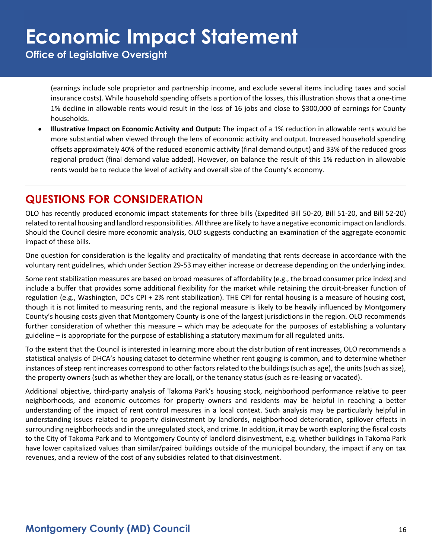**Office of Legislative Oversight**

(earnings include sole proprietor and partnership income, and exclude several items including taxes and social insurance costs). While household spending offsets a portion of the losses, this illustration shows that a one-time 1% decline in allowable rents would result in the loss of 16 jobs and close to \$300,000 of earnings for County households.

• **Illustrative Impact on Economic Activity and Output:** The impact of a 1% reduction in allowable rents would be more substantial when viewed through the lens of economic activity and output. Increased household spending offsets approximately 40% of the reduced economic activity (final demand output) and 33% of the reduced gross regional product (final demand value added). However, on balance the result of this 1% reduction in allowable rents would be to reduce the level of activity and overall size of the County's economy.

## **QUESTIONS FOR CONSIDERATION**

OLO has recently produced economic impact statements for three bills (Expedited Bill 50-20, Bill 51-20, and Bill 52-20) related to rental housing and landlord responsibilities. All three are likely to have a negative economic impact on landlords. Should the Council desire more economic analysis, OLO suggests conducting an examination of the aggregate economic impact of these bills.

One question for consideration is the legality and practicality of mandating that rents decrease in accordance with the voluntary rent guidelines, which under Section 29-53 may either increase or decrease depending on the underlying index.

Some rent stabilization measures are based on broad measures of affordability (e.g., the broad consumer price index) and include a buffer that provides some additional flexibility for the market while retaining the circuit-breaker function of regulation (e.g., Washington, DC's CPI + 2% rent stabilization). THE CPI for rental housing is a measure of housing cost, though it is not limited to measuring rents, and the regional measure is likely to be heavily influenced by Montgomery County's housing costs given that Montgomery County is one of the largest jurisdictions in the region. OLO recommends further consideration of whether this measure – which may be adequate for the purposes of establishing a voluntary guideline – is appropriate for the purpose of establishing a statutory maximum for all regulated units.

To the extent that the Council is interested in learning more about the distribution of rent increases, OLO recommends a statistical analysis of DHCA's housing dataset to determine whether rent gouging is common, and to determine whether instances of steep rent increases correspond to other factors related to the buildings (such as age), the units (such as size), the property owners (such as whether they are local), or the tenancy status (such as re-leasing or vacated).

Additional objective, third-party analysis of Takoma Park's housing stock, neighborhood performance relative to peer neighborhoods, and economic outcomes for property owners and residents may be helpful in reaching a better understanding of the impact of rent control measures in a local context. Such analysis may be particularly helpful in understanding issues related to property disinvestment by landlords, neighborhood deterioration, spillover effects in surrounding neighborhoods and in the unregulated stock, and crime. In addition, it may be worth exploring the fiscal costs to the City of Takoma Park and to Montgomery County of landlord disinvestment, e.g. whether buildings in Takoma Park have lower capitalized values than similar/paired buildings outside of the municipal boundary, the impact if any on tax revenues, and a review of the cost of any subsidies related to that disinvestment.